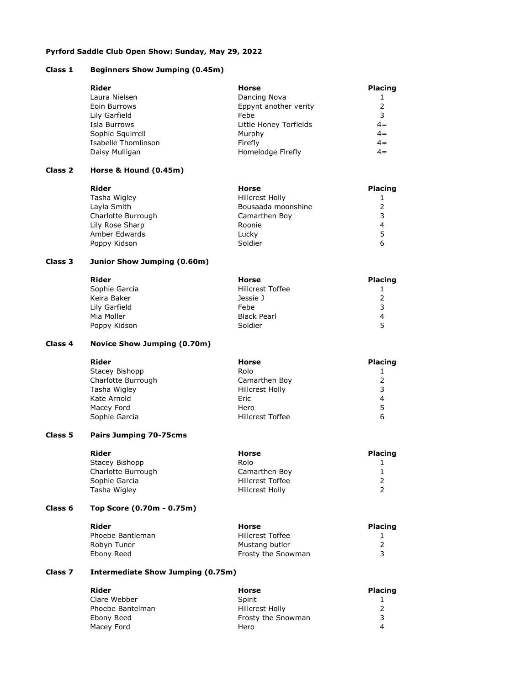## Pyrford Saddle Club Open Show: Sunday, May 29, 2022

## Class 1 Beginners Show Jumping (0.45m)

| Rider               | Horse                  | <b>Placing</b> |
|---------------------|------------------------|----------------|
| Laura Nielsen       | Dancing Nova           |                |
| Eoin Burrows        | Eppynt another verity  |                |
| Lily Garfield       | Febe                   | 3              |
| Isla Burrows        | Little Honey Torfields | $4=$           |
| Sophie Squirrell    | Murphy                 | $4=$           |
| Isabelle Thomlinson | Firefly                | $4 =$          |
| Daisy Mulligan      | Homelodge Firefly      | $4 =$          |
|                     |                        |                |

# Class 2 Horse & Hound (0.45m)

| <b>Rider</b>       | Horse                  | <b>Placing</b> |
|--------------------|------------------------|----------------|
| Tasha Wigley       | <b>Hillcrest Holly</b> |                |
| Layla Smith        | Bousaada moonshine     |                |
| Charlotte Burrough | Camarthen Boy          |                |
| Lily Rose Sharp    | Roonie                 | 4              |
| Amber Edwards      | Lucky                  |                |
| Poppy Kidson       | Soldier                |                |

## Class 3 Junior Show Jumping (0.60m)

| Rider         | Horse              | <b>Placing</b> |
|---------------|--------------------|----------------|
| Sophie Garcia | Hillcrest Toffee   |                |
| Keira Baker   | Jessie J           |                |
| Lily Garfield | Febe               | ર              |
| Mia Moller    | <b>Black Pearl</b> | 4              |
| Poppy Kidson  | Soldier            | 5              |

## Class 4 Novice Show Jumping (0.70m)

| Rider              | Horse                  | <b>Placing</b> |
|--------------------|------------------------|----------------|
| Stacey Bishopp     | Rolo                   |                |
| Charlotte Burrough | Camarthen Boy          |                |
| Tasha Wigley       | <b>Hillcrest Holly</b> |                |
| Kate Arnold        | Eric                   | 4              |
| Macey Ford         | Hero                   | 5              |
| Sophie Garcia      | Hillcrest Toffee       | 6              |

### Class 5 Pairs Jumping 70-75cms

| Rider              | Horse            | <b>Placing</b> |
|--------------------|------------------|----------------|
| Stacey Bishopp     | Rolo             |                |
| Charlotte Burrough | Camarthen Boy    |                |
| Sophie Garcia      | Hillcrest Toffee |                |
| Tasha Wigley       | Hillcrest Holly  |                |

## Class 6 Top Score (0.70m - 0.75m)

| Rider            | Horse                   | <b>Placing</b> |
|------------------|-------------------------|----------------|
| Phoebe Bantleman | <b>Hillcrest Toffee</b> |                |
| Robyn Tuner      | Mustang butler          |                |
| Ebony Reed       | Frosty the Snowman      |                |

# Class 7 Intermediate Show Jumping (0.75m)

| Rider            | Horse              | <b>Placing</b>   |
|------------------|--------------------|------------------|
| Clare Webber     | Spirit             |                  |
| Phoebe Bantelman | Hillcrest Holly    |                  |
| Ebony Reed       | Frosty the Snowman |                  |
| Macey Ford       | Hero               | $\boldsymbol{A}$ |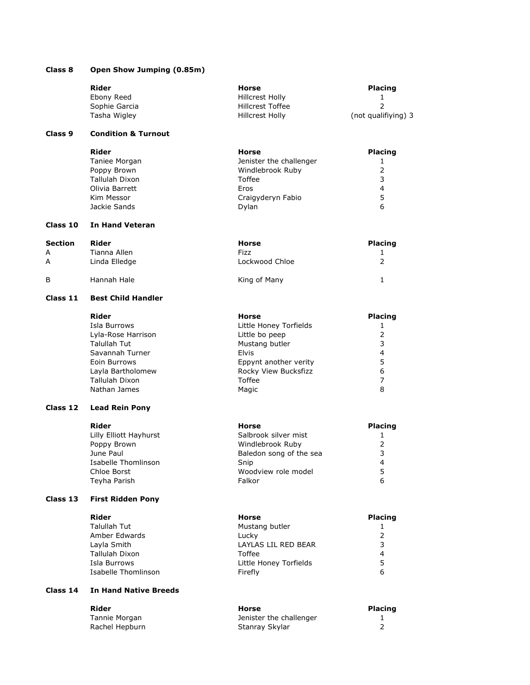|                    | Rider                               | <b>Horse</b>                            | <b>Placing</b>      |
|--------------------|-------------------------------------|-----------------------------------------|---------------------|
|                    | Ebony Reed                          | Hillcrest Holly                         | 1                   |
|                    | Sophie Garcia                       | <b>Hillcrest Toffee</b>                 | 2                   |
|                    | Tasha Wigley                        | Hillcrest Holly                         | (not qualifiying) 3 |
| Class <sub>9</sub> | <b>Condition &amp; Turnout</b>      |                                         |                     |
|                    | <b>Rider</b>                        | Horse                                   | <b>Placing</b>      |
|                    | Taniee Morgan                       | Jenister the challenger                 | 1                   |
|                    | Poppy Brown                         | Windlebrook Ruby                        | 2                   |
|                    | Tallulah Dixon                      | Toffee                                  | 3                   |
|                    | Olivia Barrett                      | Eros                                    | 4                   |
|                    | Kim Messor                          | Craigyderyn Fabio                       | 5                   |
|                    | Jackie Sands                        | Dylan                                   | 6                   |
| Class 10           | <b>In Hand Veteran</b>              |                                         |                     |
| <b>Section</b>     | <b>Rider</b>                        | <b>Horse</b>                            | <b>Placing</b>      |
| A                  | Tianna Allen                        | Fizz                                    | 1                   |
| A                  | Linda Elledge                       | Lockwood Chloe                          | $\overline{2}$      |
| B                  | Hannah Hale                         | King of Many                            | 1                   |
| Class 11           | <b>Best Child Handler</b>           |                                         |                     |
|                    | Rider                               | <b>Horse</b>                            | <b>Placing</b>      |
|                    | Isla Burrows                        | Little Honey Torfields                  | 1                   |
|                    | Lyla-Rose Harrison                  | Little bo peep                          | 2                   |
|                    | Talullah Tut                        | Mustang butler                          | 3                   |
|                    | Savannah Turner                     | Elvis                                   | 4                   |
|                    | Eoin Burrows                        | Eppynt another verity                   | 5                   |
|                    | Layla Bartholomew                   | Rocky View Bucksfizz                    | 6                   |
|                    | Tallulah Dixon                      | Toffee                                  | 7                   |
|                    | Nathan James                        | Magic                                   | 8                   |
| Class 12           | <b>Lead Rein Pony</b>               |                                         |                     |
|                    | <b>Rider</b>                        | <b>Horse</b>                            | <b>Placing</b>      |
|                    | Lilly Elliott Hayhurst              | Salbrook silver mist                    | 1                   |
|                    | Poppy Brown                         | Windlebrook Ruby                        | 2                   |
|                    | June Paul                           | Baledon song of the sea                 | 3                   |
|                    | Isabelle Thomlinson                 | Snip                                    | 4                   |
|                    | Chloe Borst                         | Woodview role model                     | 5                   |
|                    | Teyha Parish                        | Falkor                                  | 6                   |
| Class 13           | <b>First Ridden Pony</b>            |                                         |                     |
|                    | <b>Rider</b>                        | <b>Horse</b>                            | <b>Placing</b>      |
|                    | Talullah Tut                        | Mustang butler                          | 1                   |
|                    | Amber Edwards                       | Lucky                                   | $\overline{2}$      |
|                    | Layla Smith                         | LAYLAS LIL RED BEAR                     | 3                   |
|                    | Tallulah Dixon                      | Toffee                                  | 4                   |
|                    | Isla Burrows<br>Isabelle Thomlinson | Little Honey Torfields<br>Firefly       | 5<br>6              |
| Class 14           | <b>In Hand Native Breeds</b>        |                                         |                     |
|                    |                                     |                                         |                     |
|                    | <b>Rider</b><br>Tannie Morgan       | <b>Horse</b><br>Jenister the challenger | Placing<br>1        |
|                    | Rachel Hepburn                      | Stanray Skylar                          | 2                   |
|                    |                                     |                                         |                     |

Class 8 Open Show Jumping (0.85m)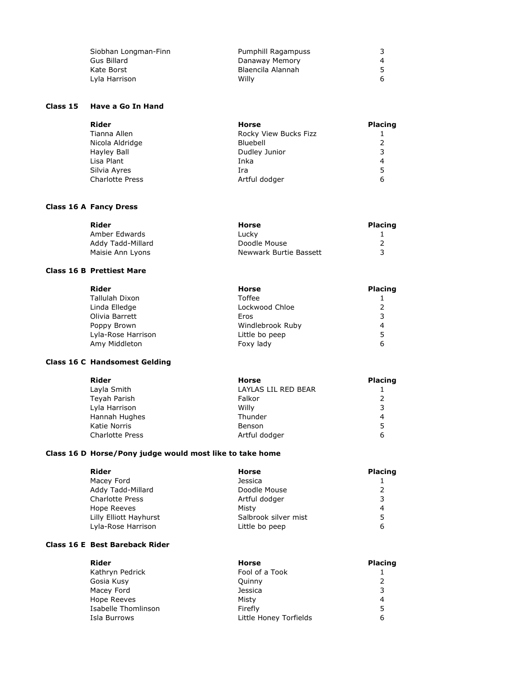| Siobhan Longman-Finn | Pumphill Ragampuss |  |
|----------------------|--------------------|--|
| Gus Billard          | Danaway Memory     |  |
| Kate Borst           | Blaencila Alannah  |  |
| Lyla Harrison        | Willy              |  |

# Class 15 Have a Go In Hand

| Rider                  | Horse                 | <b>Placing</b> |
|------------------------|-----------------------|----------------|
| Tianna Allen           | Rocky View Bucks Fizz |                |
| Nicola Aldridge        | Bluebell              |                |
| Hayley Ball            | Dudley Junior         |                |
| Lisa Plant             | Inka                  | 4              |
| Silvia Ayres           | Ira                   | 5              |
| <b>Charlotte Press</b> | Artful dodger         | 6              |

# Class 16 A Fancy Dress

| Rider             | Horse                  | <b>Placing</b> |
|-------------------|------------------------|----------------|
| Amber Edwards     | Lucky                  |                |
| Addy Tadd-Millard | Doodle Mouse           |                |
| Maisie Ann Lyons  | Newwark Burtie Bassett |                |

### Class 16 B Prettiest Mare

| <b>Horse</b>     | <b>Placing</b> |
|------------------|----------------|
| Toffee           |                |
| Lockwood Chloe   |                |
| Eros             |                |
| Windlebrook Ruby | 4              |
| Little bo peep   | 5              |
| Foxy lady        | 6              |
|                  |                |

## Class 16 C Handsomest Gelding

| <b>Placing</b> |
|----------------|
|                |
|                |
| 3              |
| 4              |
| 5              |
| 6              |
|                |

# Class 16 D Horse/Pony judge would most like to take home

| Rider                  | Horse                | <b>Placing</b> |
|------------------------|----------------------|----------------|
| Macey Ford             | <b>Jessica</b>       |                |
| Addy Tadd-Millard      | Doodle Mouse         |                |
| <b>Charlotte Press</b> | Artful dodger        |                |
| Hope Reeves            | Misty                | 4              |
| Lilly Elliott Hayhurst | Salbrook silver mist | 5              |
| Lyla-Rose Harrison     | Little bo peep       | 6              |

# Class 16 E Best Bareback Rider

| Rider               | Horse                  | <b>Placing</b> |
|---------------------|------------------------|----------------|
| Kathryn Pedrick     | Fool of a Took         |                |
| Gosia Kusy          | Quinny                 |                |
| Macey Ford          | Jessica                |                |
| Hope Reeves         | Misty                  | 4              |
| Isabelle Thomlinson | Firefly                | 5              |
| Isla Burrows        | Little Honey Torfields | 6              |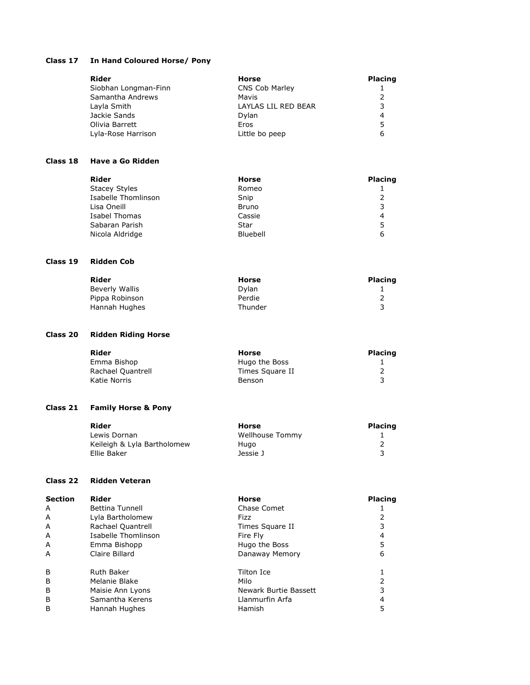## Class 17 In Hand Coloured Horse/ Pony

| Rider                | Horse               | <b>Placing</b> |
|----------------------|---------------------|----------------|
| Siobhan Longman-Finn | CNS Cob Marley      |                |
| Samantha Andrews     | Mavis               |                |
| Layla Smith          | LAYLAS LIL RED BEAR |                |
| Jackie Sands         | Dylan               | 4              |
| Olivia Barrett       | Eros                | 5              |
| Lyla-Rose Harrison   | Little bo peep      | 6              |

#### Class 18 Have a Go Ridden

| Rider                | <b>Horse</b> | <b>Placing</b> |
|----------------------|--------------|----------------|
| <b>Stacey Styles</b> | Romeo        |                |
| Isabelle Thomlinson  | Snip         |                |
| Lisa Oneill          | Bruno        |                |
| Isabel Thomas        | Cassie       | 4              |
| Sabaran Parish       | Star         | 5              |
| Nicola Aldridge      | Bluebell     | 6              |

#### Class 19 Ridden Cob

| Rider          | Horse   | <b>Placing</b> |
|----------------|---------|----------------|
| Beverly Wallis | Dvlan   |                |
| Pippa Robinson | Perdie  |                |
| Hannah Hughes  | Thunder |                |

# Class 20 Ridden Riding Horse

| Rider             | Horse           | <b>Placing</b> |
|-------------------|-----------------|----------------|
| Emma Bishop       | Hugo the Boss   |                |
| Rachael Quantrell | Times Sauare II |                |
| Katie Norris      | Benson          |                |

## Class 21 Family Horse & Pony

| Rider                       | Horse           | <b>Placing</b> |
|-----------------------------|-----------------|----------------|
| Lewis Dornan                | Wellhouse Tommy |                |
| Keileigh & Lyla Bartholomew | Hugo            |                |
| Ellie Baker                 | Jessie J        |                |

## Class 22 Ridden Veteran

| <b>Section</b> | Rider               | <b>Horse</b>          | <b>Placing</b> |
|----------------|---------------------|-----------------------|----------------|
| A              | Bettina Tunnell     | Chase Comet           |                |
| A              | Lyla Bartholomew    | Fizz                  |                |
| A              | Rachael Quantrell   | Times Square II       |                |
| A              | Isabelle Thomlinson | Fire Fly              | 4              |
| A              | Emma Bishopp        | Hugo the Boss         | 5              |
| A              | Claire Billard      | Danaway Memory        | 6              |
| B              | <b>Ruth Baker</b>   | Tilton Ice            |                |
| B              | Melanie Blake       | Milo                  |                |
| B              | Maisie Ann Lyons    | Newark Burtie Bassett |                |
| B              | Samantha Kerens     | Llanmurfin Arfa       | 4              |
| B              | Hannah Hughes       | <b>Hamish</b>         | 5              |
|                |                     |                       |                |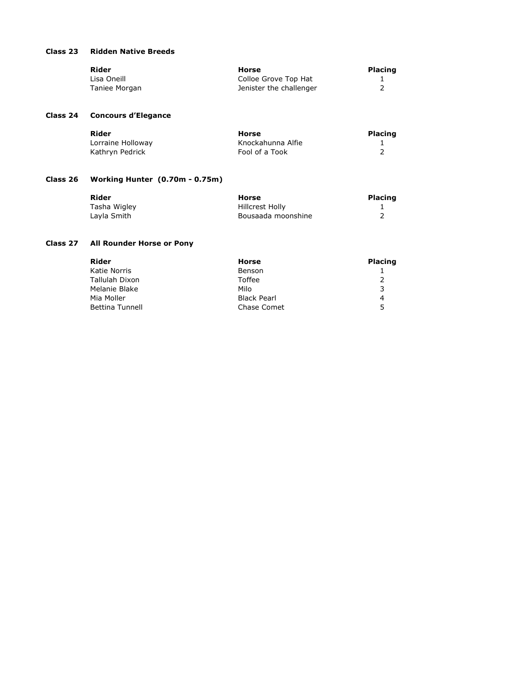# Class 23 Ridden Native Breeds

| Rider         | Horse                   | <b>Placing</b> |
|---------------|-------------------------|----------------|
| Lisa Oneill   | Colloe Grove Top Hat    |                |
| Taniee Morgan | Jenister the challenger |                |

# Class 24 Concours d'Elegance

| Rider             | Horse             | <b>Placing</b> |
|-------------------|-------------------|----------------|
| Lorraine Holloway | Knockahunna Alfie |                |
| Kathrvn Pedrick   | Fool of a Took    |                |

# Class 26 Working Hunter (0.70m - 0.75m)

| Rider        | Horse              | <b>Placing</b> |
|--------------|--------------------|----------------|
| Tasha Wigley | Hillcrest Holly    |                |
| Lavla Smith  | Bousaada moonshine |                |

# Class 27 All Rounder Horse or Pony

| Rider                  | Horse              | <b>Placing</b> |
|------------------------|--------------------|----------------|
| Katie Norris           | Benson             |                |
| Tallulah Dixon         | Toffee             |                |
| Melanie Blake          | Milo               |                |
| Mia Moller             | <b>Black Pearl</b> | 4              |
| <b>Bettina Tunnell</b> | Chase Comet        | -5.            |